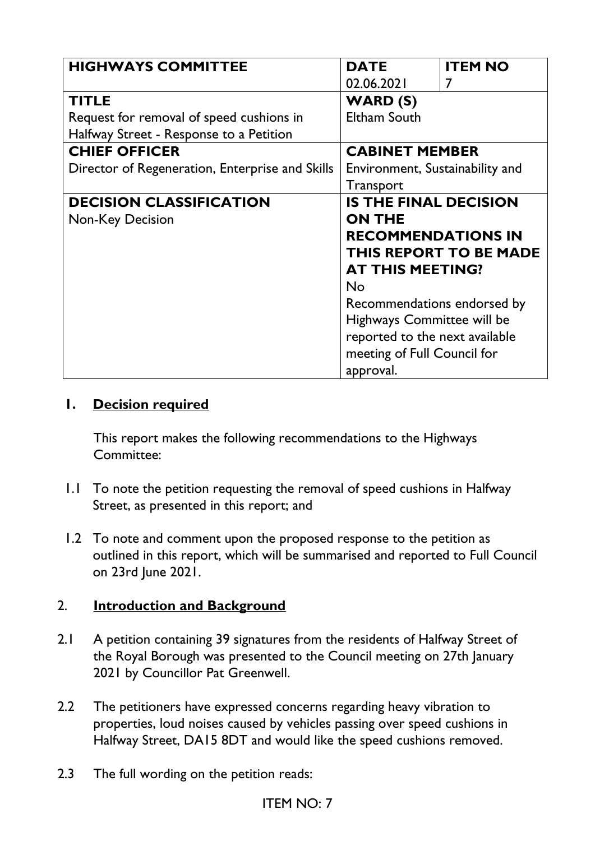| <b>HIGHWAYS COMMITTEE</b>                       | <b>DATE</b>                     | <b>ITEM NO</b>                |
|-------------------------------------------------|---------------------------------|-------------------------------|
|                                                 | 02.06.2021                      | 7                             |
| <b>TITLE</b>                                    | <b>WARD (S)</b>                 |                               |
| Request for removal of speed cushions in        | <b>Eltham South</b>             |                               |
| Halfway Street - Response to a Petition         |                                 |                               |
| <b>CHIEF OFFICER</b>                            | <b>CABINET MEMBER</b>           |                               |
| Director of Regeneration, Enterprise and Skills | Environment, Sustainability and |                               |
|                                                 | <b>Transport</b>                |                               |
| <b>DECISION CLASSIFICATION</b>                  | <b>IS THE FINAL DECISION</b>    |                               |
| Non-Key Decision                                | <b>ON THE</b>                   |                               |
|                                                 | <b>RECOMMENDATIONS IN</b>       |                               |
|                                                 |                                 | <b>THIS REPORT TO BE MADE</b> |
|                                                 | <b>AT THIS MEETING?</b>         |                               |
|                                                 | <b>No</b>                       |                               |
|                                                 | Recommendations endorsed by     |                               |
|                                                 | Highways Committee will be      |                               |
|                                                 | reported to the next available  |                               |
|                                                 | meeting of Full Council for     |                               |
|                                                 | approval.                       |                               |

#### **1. Decision required**

This report makes the following recommendations to the Highways Committee:

- 1.1 To note the petition requesting the removal of speed cushions in Halfway Street, as presented in this report; and
- 1.2 To note and comment upon the proposed response to the petition as outlined in this report, which will be summarised and reported to Full Council on 23rd June 2021.

#### 2. **Introduction and Background**

- 2.1 A petition containing 39 signatures from the residents of Halfway Street of the Royal Borough was presented to the Council meeting on 27th January 2021 by Councillor Pat Greenwell.
- 2.2 The petitioners have expressed concerns regarding heavy vibration to properties, loud noises caused by vehicles passing over speed cushions in Halfway Street, DA15 8DT and would like the speed cushions removed.
- 2.3 The full wording on the petition reads: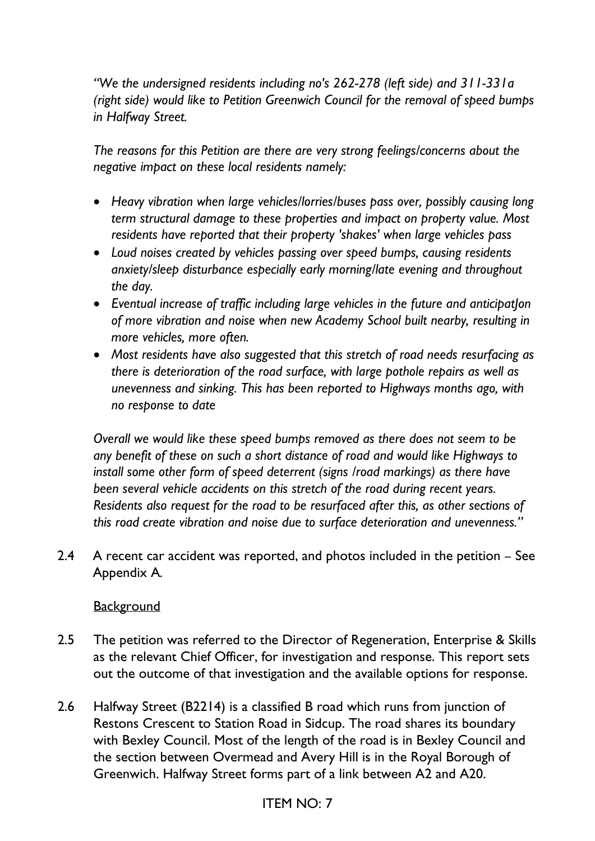*"We the undersigned residents including no's 262-278 (left side) and 311-331a (right side) would like to Petition Greenwich Council for the removal of speed bumps in Halfway Street.* 

*The reasons for this Petition are there are very strong feelings/concerns about the negative impact on these local residents namely:* 

- *Heavy vibration when large vehicles/lorries/buses pass over, possibly causing long term structural damage to these properties and impact on property value. Most residents have reported that their property 'shakes' when large vehicles pass*
- *Loud noises created by vehicles passing over speed bumps, causing residents anxiety/sleep disturbance especially early morning/late evening and throughout the day.*
- *Eventual increase of traffic including large vehicles in the future and anticipatJon of more vibration and noise when new Academy School built nearby, resulting in more vehicles, more often.*
- *Most residents have also suggested that this stretch of road needs resurfacing as there is deterioration of the road surface, with large pothole repairs as well as unevenness and sinking. This has been reported to Highways months ago, with no response to date*

*Overall we would like these speed bumps removed as there does not seem to be any benefit of these on such a short distance of road and would like Highways to install some other form of speed deterrent (signs /road markings) as there have been several vehicle accidents on this stretch of the road during recent years. Residents also request for the road to be resurfaced after this, as other sections of this road create vibration and noise due to surface deterioration and unevenness."* 

2.4 A recent car accident was reported, and photos included in the petition – See Appendix A*.*

#### **Background**

- 2.5 The petition was referred to the Director of Regeneration, Enterprise & Skills as the relevant Chief Officer, for investigation and response. This report sets out the outcome of that investigation and the available options for response.
- 2.6 Halfway Street (B2214) is a classified B road which runs from junction of Restons Crescent to Station Road in Sidcup. The road shares its boundary with Bexley Council. Most of the length of the road is in Bexley Council and the section between Overmead and Avery Hill is in the Royal Borough of Greenwich. Halfway Street forms part of a link between A2 and A20.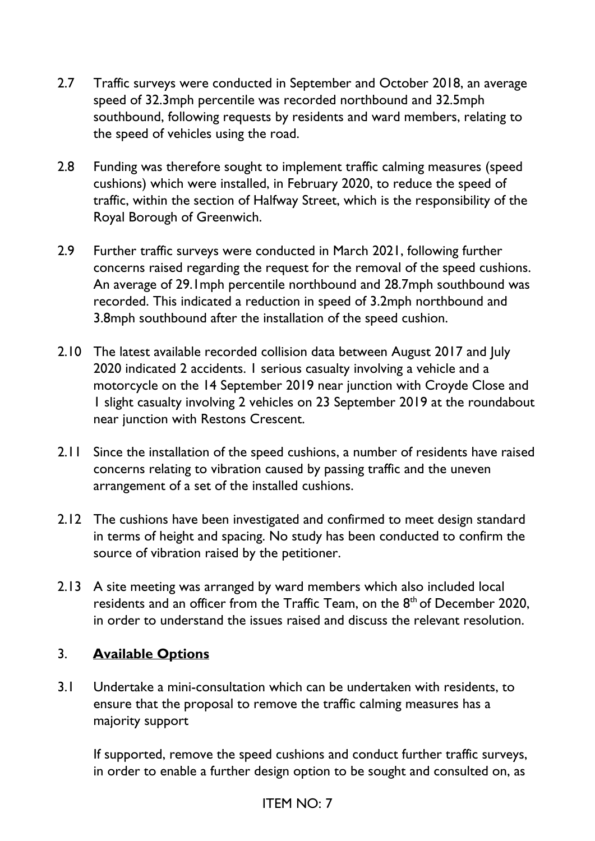- 2.7 Traffic surveys were conducted in September and October 2018, an average speed of 32.3mph percentile was recorded northbound and 32.5mph southbound, following requests by residents and ward members, relating to the speed of vehicles using the road.
- 2.8 Funding was therefore sought to implement traffic calming measures (speed cushions) which were installed, in February 2020, to reduce the speed of traffic, within the section of Halfway Street, which is the responsibility of the Royal Borough of Greenwich.
- 2.9 Further traffic surveys were conducted in March 2021, following further concerns raised regarding the request for the removal of the speed cushions. An average of 29.1mph percentile northbound and 28.7mph southbound was recorded. This indicated a reduction in speed of 3.2mph northbound and 3.8mph southbound after the installation of the speed cushion.
- 2.10 The latest available recorded collision data between August 2017 and July 2020 indicated 2 accidents. 1 serious casualty involving a vehicle and a motorcycle on the 14 September 2019 near junction with Croyde Close and 1 slight casualty involving 2 vehicles on 23 September 2019 at the roundabout near junction with Restons Crescent.
- 2.11 Since the installation of the speed cushions, a number of residents have raised concerns relating to vibration caused by passing traffic and the uneven arrangement of a set of the installed cushions.
- 2.12 The cushions have been investigated and confirmed to meet design standard in terms of height and spacing. No study has been conducted to confirm the source of vibration raised by the petitioner.
- 2.13 A site meeting was arranged by ward members which also included local residents and an officer from the Traffic Team, on the 8<sup>th</sup> of December 2020, in order to understand the issues raised and discuss the relevant resolution.

## 3. **Available Options**

3.1 Undertake a mini-consultation which can be undertaken with residents, to ensure that the proposal to remove the traffic calming measures has a majority support

If supported, remove the speed cushions and conduct further traffic surveys, in order to enable a further design option to be sought and consulted on, as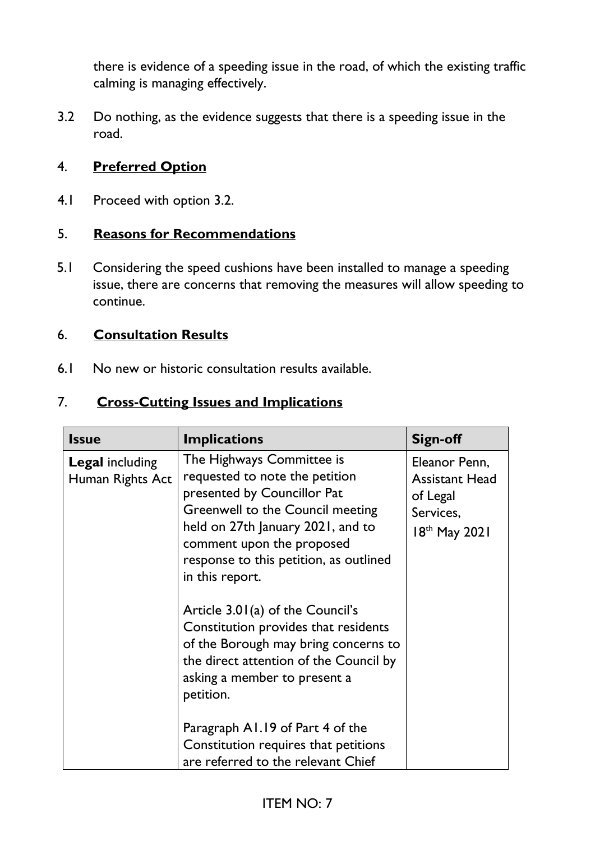there is evidence of a speeding issue in the road, of which the existing traffic calming is managing effectively.

3.2 Do nothing, as the evidence suggests that there is a speeding issue in the road.

### 4. **Preferred Option**

4.1 Proceed with option 3.2.

#### 5. **Reasons for Recommendations**

5.1 Considering the speed cushions have been installed to manage a speeding issue, there are concerns that removing the measures will allow speeding to continue.

#### 6. **Consultation Results**

6.1 No new or historic consultation results available.

### 7. **Cross-Cutting Issues and Implications**

| <b>Issue</b>                               | <b>Implications</b>                                                                                                                                                                                                                                                                                                                                                                                                                                                        | <b>Sign-off</b>                                                                  |
|--------------------------------------------|----------------------------------------------------------------------------------------------------------------------------------------------------------------------------------------------------------------------------------------------------------------------------------------------------------------------------------------------------------------------------------------------------------------------------------------------------------------------------|----------------------------------------------------------------------------------|
| <b>Legal</b> including<br>Human Rights Act | The Highways Committee is<br>requested to note the petition<br>presented by Councillor Pat<br>Greenwell to the Council meeting<br>held on 27th January 2021, and to<br>comment upon the proposed<br>response to this petition, as outlined<br>in this report.<br>Article $3.01(a)$ of the Council's<br>Constitution provides that residents<br>of the Borough may bring concerns to<br>the direct attention of the Council by<br>asking a member to present a<br>petition. | Eleanor Penn,<br><b>Assistant Head</b><br>of Legal<br>Services,<br>18th May 2021 |
|                                            | Paragraph A1.19 of Part 4 of the<br>Constitution requires that petitions<br>are referred to the relevant Chief                                                                                                                                                                                                                                                                                                                                                             |                                                                                  |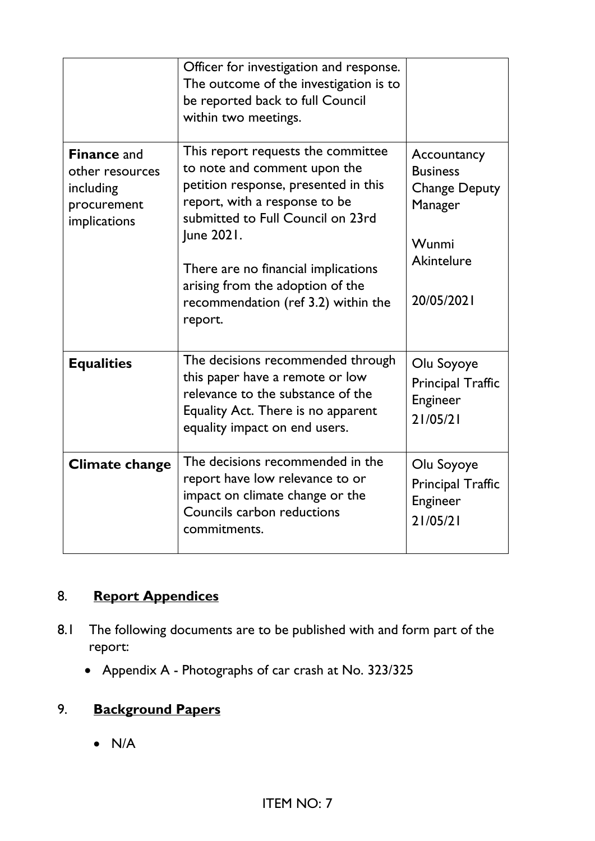|                                                                                   | Officer for investigation and response.<br>The outcome of the investigation is to<br>be reported back to full Council<br>within two meetings.                                                                                                                                                                               |                                                                                                               |
|-----------------------------------------------------------------------------------|-----------------------------------------------------------------------------------------------------------------------------------------------------------------------------------------------------------------------------------------------------------------------------------------------------------------------------|---------------------------------------------------------------------------------------------------------------|
| <b>Finance and</b><br>other resources<br>including<br>procurement<br>implications | This report requests the committee<br>to note and comment upon the<br>petition response, presented in this<br>report, with a response to be<br>submitted to Full Council on 23rd<br>June 2021.<br>There are no financial implications<br>arising from the adoption of the<br>recommendation (ref 3.2) within the<br>report. | Accountancy<br><b>Business</b><br><b>Change Deputy</b><br>Manager<br>Wunmi<br><b>Akintelure</b><br>20/05/2021 |
| <b>Equalities</b>                                                                 | The decisions recommended through<br>this paper have a remote or low<br>relevance to the substance of the<br>Equality Act. There is no apparent<br>equality impact on end users.                                                                                                                                            | Olu Soyoye<br><b>Principal Traffic</b><br>Engineer<br>21/05/21                                                |
| <b>Climate change</b>                                                             | The decisions recommended in the<br>report have low relevance to or<br>impact on climate change or the<br>Councils carbon reductions<br>commitments.                                                                                                                                                                        | Olu Soyoye<br>Principal Traffic<br>Engineer<br>21/05/21                                                       |

## 8. **Report Appendices**

- 8.1 The following documents are to be published with and form part of the report:
	- Appendix A Photographs of car crash at No. 323/325

## 9. **Background Papers**

 $\bullet$  N/A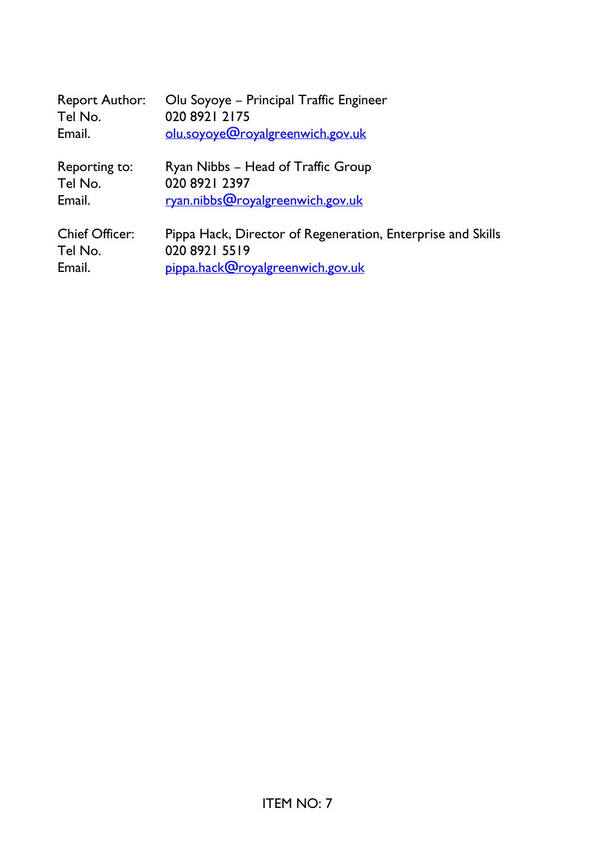| <b>Report Author:</b> | Olu Soyoye - Principal Traffic Engineer                     |
|-----------------------|-------------------------------------------------------------|
| Tel No.               | 020 8921 2175                                               |
| Email.                | olu.soyoye@royalgreenwich.gov.uk                            |
| Reporting to:         | Ryan Nibbs - Head of Traffic Group                          |
| Tel No.               | 020 8921 2397                                               |
| Email.                | ryan.nibbs@royalgreenwich.gov.uk                            |
| <b>Chief Officer:</b> | Pippa Hack, Director of Regeneration, Enterprise and Skills |
| Tel No.               | 020 8921 5519                                               |
| Email.                | pippa.hack@royalgreenwich.gov.uk                            |